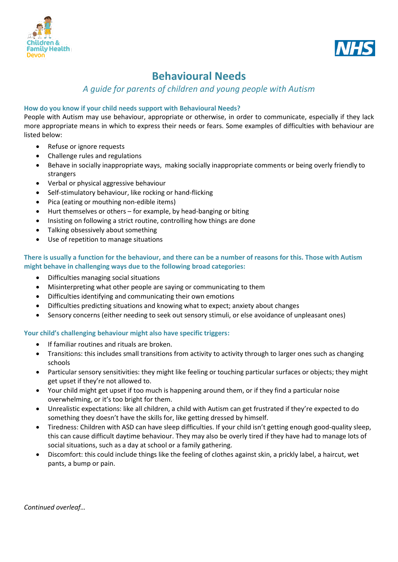



# **Behavioural Needs**

## *A guide for parents of children and young people with Autism*

### **How do you know if your child needs support with Behavioural Needs?**

People with Autism may use behaviour, appropriate or otherwise, in order to communicate, especially if they lack more appropriate means in which to express their needs or fears. Some examples of difficulties with behaviour are listed below:

- Refuse or ignore requests
- Challenge rules and regulations
- Behave in socially inappropriate ways, making socially inappropriate comments or being overly friendly to strangers
- Verbal or physical aggressive behaviour
- Self-stimulatory behaviour, like rocking or hand-flicking
- Pica (eating or mouthing non-edible items)
- Hurt themselves or others for example, by head-banging or biting
- Insisting on following a strict routine, controlling how things are done
- Talking obsessively about something
- Use of repetition to manage situations

#### **There is usually a function for the behaviour, and there can be a number of reasons for this. Those with Autism might behave in challenging ways due to the following broad categories:**

- Difficulties managing social situations
- Misinterpreting what other people are saying or communicating to them
- Difficulties identifying and communicating their own emotions
- Difficulties predicting situations and knowing what to expect; anxiety about changes
- Sensory concerns (either needing to seek out sensory stimuli, or else avoidance of unpleasant ones)

#### **Your child's challenging behaviour might also have specific triggers:**

- If familiar routines and rituals are broken.
- Transitions: this includes small transitions from activity to activity through to larger ones such as changing schools
- Particular sensory sensitivities: they might like feeling or touching particular surfaces or objects; they might get upset if they're not allowed to.
- Your child might get upset if too much is happening around them, or if they find a particular noise overwhelming, or it's too bright for them.
- Unrealistic expectations: like all children, a child with Autism can get frustrated if they're expected to do something they doesn't have the skills for, like getting dressed by himself.
- Tiredness: Children with ASD can have sleep difficulties. If your child isn't getting enough good-quality sleep, this can cause difficult daytime behaviour. They may also be overly tired if they have had to manage lots of social situations, such as a day at school or a family gathering.
- Discomfort: this could include things like the feeling of clothes against skin, a prickly label, a haircut, wet pants, a bump or pain.

*Continued overleaf…*